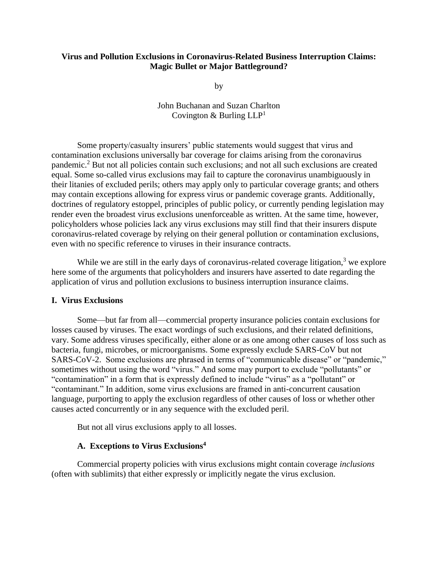#### **Virus and Pollution Exclusions in Coronavirus-Related Business Interruption Claims: Magic Bullet or Major Battleground?**

by

John Buchanan and Suzan Charlton Covington & Burling  $LLP<sup>1</sup>$ 

Some property/casualty insurers' public statements would suggest that virus and contamination exclusions universally bar coverage for claims arising from the coronavirus pandemic.<sup>2</sup> But not all policies contain such exclusions; and not all such exclusions are created equal. Some so-called virus exclusions may fail to capture the coronavirus unambiguously in their litanies of excluded perils; others may apply only to particular coverage grants; and others may contain exceptions allowing for express virus or pandemic coverage grants. Additionally, doctrines of regulatory estoppel, principles of public policy, or currently pending legislation may render even the broadest virus exclusions unenforceable as written. At the same time, however, policyholders whose policies lack any virus exclusions may still find that their insurers dispute coronavirus-related coverage by relying on their general pollution or contamination exclusions, even with no specific reference to viruses in their insurance contracts.

While we are still in the early days of coronavirus-related coverage litigation, $3$  we explore here some of the arguments that policyholders and insurers have asserted to date regarding the application of virus and pollution exclusions to business interruption insurance claims.

#### **I. Virus Exclusions**

Some—but far from all—commercial property insurance policies contain exclusions for losses caused by viruses. The exact wordings of such exclusions, and their related definitions, vary. Some address viruses specifically, either alone or as one among other causes of loss such as bacteria, fungi, microbes, or microorganisms. Some expressly exclude SARS-CoV but not SARS-CoV-2. Some exclusions are phrased in terms of "communicable disease" or "pandemic," sometimes without using the word "virus." And some may purport to exclude "pollutants" or "contamination" in a form that is expressly defined to include "virus" as a "pollutant" or "contaminant." In addition, some virus exclusions are framed in anti-concurrent causation language, purporting to apply the exclusion regardless of other causes of loss or whether other causes acted concurrently or in any sequence with the excluded peril.

But not all virus exclusions apply to all losses.

## **A. Exceptions to Virus Exclusions<sup>4</sup>**

Commercial property policies with virus exclusions might contain coverage *inclusions* (often with sublimits) that either expressly or implicitly negate the virus exclusion.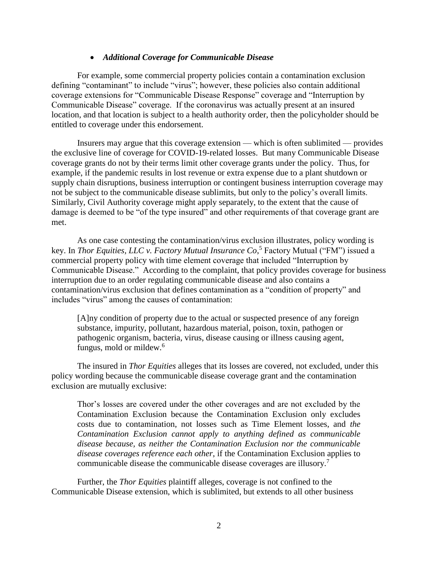#### *Additional Coverage for Communicable Disease*

For example, some commercial property policies contain a contamination exclusion defining "contaminant" to include "virus"; however, these policies also contain additional coverage extensions for "Communicable Disease Response" coverage and "Interruption by Communicable Disease" coverage. If the coronavirus was actually present at an insured location, and that location is subject to a health authority order, then the policyholder should be entitled to coverage under this endorsement.

Insurers may argue that this coverage extension — which is often sublimited — provides the exclusive line of coverage for COVID-19-related losses. But many Communicable Disease coverage grants do not by their terms limit other coverage grants under the policy. Thus, for example, if the pandemic results in lost revenue or extra expense due to a plant shutdown or supply chain disruptions, business interruption or contingent business interruption coverage may not be subject to the communicable disease sublimits, but only to the policy's overall limits. Similarly, Civil Authority coverage might apply separately, to the extent that the cause of damage is deemed to be "of the type insured" and other requirements of that coverage grant are met.

As one case contesting the contamination/virus exclusion illustrates, policy wording is key. In *Thor Equities, LLC v. Factory Mutual Insurance Co*, <sup>5</sup> Factory Mutual ("FM") issued a commercial property policy with time element coverage that included "Interruption by Communicable Disease." According to the complaint, that policy provides coverage for business interruption due to an order regulating communicable disease and also contains a contamination/virus exclusion that defines contamination as a "condition of property" and includes "virus" among the causes of contamination:

[A]ny condition of property due to the actual or suspected presence of any foreign substance, impurity, pollutant, hazardous material, poison, toxin, pathogen or pathogenic organism, bacteria, virus, disease causing or illness causing agent, fungus, mold or mildew.<sup>6</sup>

The insured in *Thor Equities* alleges that its losses are covered, not excluded, under this policy wording because the communicable disease coverage grant and the contamination exclusion are mutually exclusive:

Thor's losses are covered under the other coverages and are not excluded by the Contamination Exclusion because the Contamination Exclusion only excludes costs due to contamination, not losses such as Time Element losses, and *the Contamination Exclusion cannot apply to anything defined as communicable disease because, as neither the Contamination Exclusion nor the communicable disease coverages reference each other*, if the Contamination Exclusion applies to communicable disease the communicable disease coverages are illusory.<sup>7</sup>

Further, the *Thor Equities* plaintiff alleges, coverage is not confined to the Communicable Disease extension, which is sublimited, but extends to all other business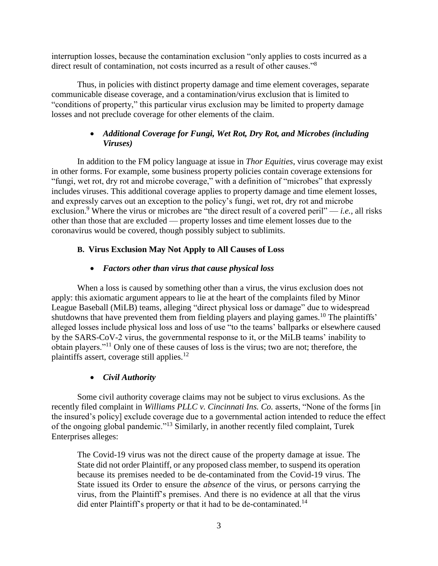interruption losses, because the contamination exclusion "only applies to costs incurred as a direct result of contamination, not costs incurred as a result of other causes."<sup>8</sup>

Thus, in policies with distinct property damage and time element coverages, separate communicable disease coverage, and a contamination/virus exclusion that is limited to "conditions of property," this particular virus exclusion may be limited to property damage losses and not preclude coverage for other elements of the claim.

# *Additional Coverage for Fungi, Wet Rot, Dry Rot, and Microbes (including Viruses)*

In addition to the FM policy language at issue in *Thor Equities*, virus coverage may exist in other forms. For example, some business property policies contain coverage extensions for "fungi, wet rot, dry rot and microbe coverage," with a definition of "microbes" that expressly includes viruses. This additional coverage applies to property damage and time element losses, and expressly carves out an exception to the policy's fungi, wet rot, dry rot and microbe exclusion.<sup>9</sup> Where the virus or microbes are "the direct result of a covered peril" — *i.e.*, all risks other than those that are excluded — property losses and time element losses due to the coronavirus would be covered, though possibly subject to sublimits.

# **B. Virus Exclusion May Not Apply to All Causes of Loss**

# *Factors other than virus that cause physical loss*

When a loss is caused by something other than a virus, the virus exclusion does not apply: this axiomatic argument appears to lie at the heart of the complaints filed by Minor League Baseball (MiLB) teams, alleging "direct physical loss or damage" due to widespread shutdowns that have prevented them from fielding players and playing games.<sup>10</sup> The plaintiffs' alleged losses include physical loss and loss of use "to the teams' ballparks or elsewhere caused by the SARS-CoV-2 virus, the governmental response to it, or the MiLB teams' inability to obtain players."<sup>11</sup> Only one of these causes of loss is the virus; two are not; therefore, the plaintiffs assert, coverage still applies.<sup>12</sup>

## *Civil Authority*

Some civil authority coverage claims may not be subject to virus exclusions. As the recently filed complaint in *Williams PLLC v. Cincinnati Ins. Co.* asserts, "None of the forms [in the insured's policy] exclude coverage due to a governmental action intended to reduce the effect of the ongoing global pandemic."<sup>13</sup> Similarly, in another recently filed complaint, Turek Enterprises alleges:

The Covid-19 virus was not the direct cause of the property damage at issue. The State did not order Plaintiff, or any proposed class member, to suspend its operation because its premises needed to be de-contaminated from the Covid-19 virus. The State issued its Order to ensure the *absence* of the virus, or persons carrying the virus, from the Plaintiff's premises. And there is no evidence at all that the virus did enter Plaintiff's property or that it had to be de-contaminated.<sup>14</sup>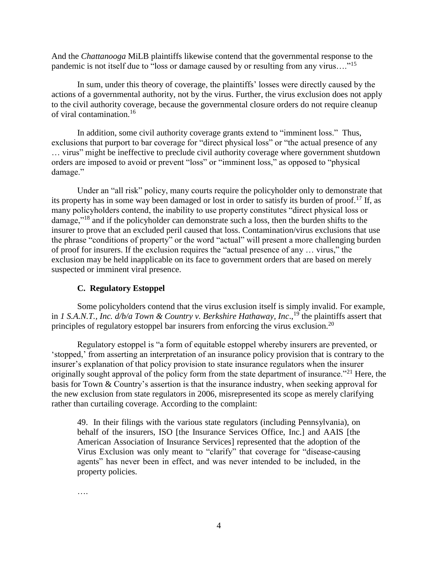And the *Chattanooga* MiLB plaintiffs likewise contend that the governmental response to the pandemic is not itself due to "loss or damage caused by or resulting from any virus…."<sup>15</sup>

In sum, under this theory of coverage, the plaintiffs' losses were directly caused by the actions of a governmental authority, not by the virus. Further, the virus exclusion does not apply to the civil authority coverage, because the governmental closure orders do not require cleanup of viral contamination.<sup>16</sup>

In addition, some civil authority coverage grants extend to "imminent loss." Thus, exclusions that purport to bar coverage for "direct physical loss" or "the actual presence of any … virus" might be ineffective to preclude civil authority coverage where government shutdown orders are imposed to avoid or prevent "loss" or "imminent loss," as opposed to "physical damage."

Under an "all risk" policy, many courts require the policyholder only to demonstrate that its property has in some way been damaged or lost in order to satisfy its burden of proof.<sup>17</sup> If, as many policyholders contend, the inability to use property constitutes "direct physical loss or damage,"<sup>18</sup> and if the policyholder can demonstrate such a loss, then the burden shifts to the insurer to prove that an excluded peril caused that loss. Contamination/virus exclusions that use the phrase "conditions of property" or the word "actual" will present a more challenging burden of proof for insurers. If the exclusion requires the "actual presence of any … virus," the exclusion may be held inapplicable on its face to government orders that are based on merely suspected or imminent viral presence.

## **C. Regulatory Estoppel**

Some policyholders contend that the virus exclusion itself is simply invalid. For example, in *1 S.A.N.T., Inc. d/b/a Town & Country v. Berkshire Hathaway, Inc*., <sup>19</sup> the plaintiffs assert that principles of regulatory estoppel bar insurers from enforcing the virus exclusion.<sup>20</sup>

Regulatory estoppel is "a form of equitable estoppel whereby insurers are prevented, or 'stopped,' from asserting an interpretation of an insurance policy provision that is contrary to the insurer's explanation of that policy provision to state insurance regulators when the insurer originally sought approval of the policy form from the state department of insurance."<sup>21</sup> Here, the basis for Town & Country's assertion is that the insurance industry, when seeking approval for the new exclusion from state regulators in 2006, misrepresented its scope as merely clarifying rather than curtailing coverage. According to the complaint:

49. In their filings with the various state regulators (including Pennsylvania), on behalf of the insurers, ISO [the Insurance Services Office, Inc.] and AAIS [the American Association of Insurance Services] represented that the adoption of the Virus Exclusion was only meant to "clarify" that coverage for "disease-causing agents" has never been in effect, and was never intended to be included, in the property policies.

….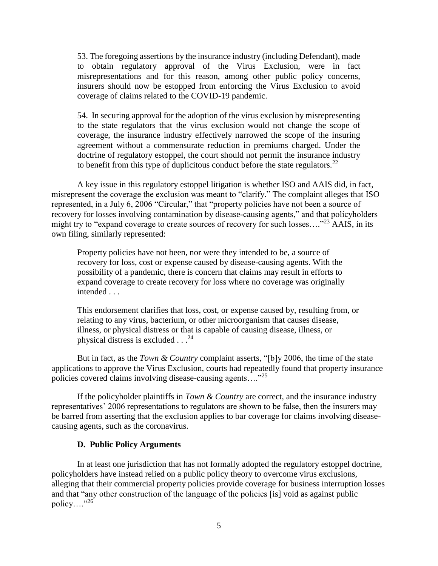53. The foregoing assertions by the insurance industry (including Defendant), made to obtain regulatory approval of the Virus Exclusion, were in fact misrepresentations and for this reason, among other public policy concerns, insurers should now be estopped from enforcing the Virus Exclusion to avoid coverage of claims related to the COVID-19 pandemic.

54. In securing approval for the adoption of the virus exclusion by misrepresenting to the state regulators that the virus exclusion would not change the scope of coverage, the insurance industry effectively narrowed the scope of the insuring agreement without a commensurate reduction in premiums charged. Under the doctrine of regulatory estoppel, the court should not permit the insurance industry to benefit from this type of duplicitous conduct before the state regulators.<sup>22</sup>

A key issue in this regulatory estoppel litigation is whether ISO and AAIS did, in fact, misrepresent the coverage the exclusion was meant to "clarify." The complaint alleges that ISO represented, in a July 6, 2006 "Circular," that "property policies have not been a source of recovery for losses involving contamination by disease-causing agents," and that policyholders might try to "expand coverage to create sources of recovery for such losses...."<sup>23</sup> AAIS, in its own filing, similarly represented:

Property policies have not been, nor were they intended to be, a source of recovery for loss, cost or expense caused by disease-causing agents. With the possibility of a pandemic, there is concern that claims may result in efforts to expand coverage to create recovery for loss where no coverage was originally intended . . .

This endorsement clarifies that loss, cost, or expense caused by, resulting from, or relating to any virus, bacterium, or other microorganism that causes disease, illness, or physical distress or that is capable of causing disease, illness, or physical distress is excluded  $\ldots$ <sup>24</sup>

But in fact, as the *Town & Country* complaint asserts, "[b]y 2006, the time of the state applications to approve the Virus Exclusion, courts had repeatedly found that property insurance policies covered claims involving disease-causing agents...."<sup>25</sup>

If the policyholder plaintiffs in *Town & Country* are correct, and the insurance industry representatives' 2006 representations to regulators are shown to be false, then the insurers may be barred from asserting that the exclusion applies to bar coverage for claims involving diseasecausing agents, such as the coronavirus.

#### **D. Public Policy Arguments**

In at least one jurisdiction that has not formally adopted the regulatory estoppel doctrine, policyholders have instead relied on a public policy theory to overcome virus exclusions, alleging that their commercial property policies provide coverage for business interruption losses and that "any other construction of the language of the policies [is] void as against public policy…."<sup>26</sup>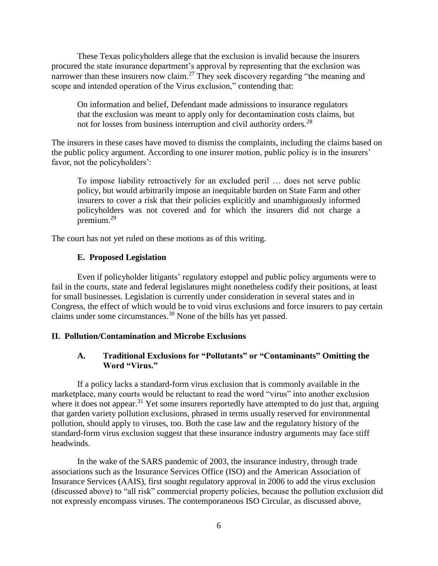These Texas policyholders allege that the exclusion is invalid because the insurers procured the state insurance department's approval by representing that the exclusion was narrower than these insurers now claim.<sup>27</sup> They seek discovery regarding "the meaning and scope and intended operation of the Virus exclusion," contending that:

On information and belief, Defendant made admissions to insurance regulators that the exclusion was meant to apply only for decontamination costs claims, but not for losses from business interruption and civil authority orders.<sup>28</sup>

The insurers in these cases have moved to dismiss the complaints, including the claims based on the public policy argument. According to one insurer motion, public policy is in the insurers' favor, not the policyholders':

To impose liability retroactively for an excluded peril … does not serve public policy, but would arbitrarily impose an inequitable burden on State Farm and other insurers to cover a risk that their policies explicitly and unambiguously informed policyholders was not covered and for which the insurers did not charge a premium.<sup>29</sup>

The court has not yet ruled on these motions as of this writing.

## **E. Proposed Legislation**

Even if policyholder litigants' regulatory estoppel and public policy arguments were to fail in the courts, state and federal legislatures might nonetheless codify their positions, at least for small businesses. Legislation is currently under consideration in several states and in Congress, the effect of which would be to void virus exclusions and force insurers to pay certain claims under some circumstances.<sup>30</sup> None of the bills has yet passed.

## **II. Pollution/Contamination and Microbe Exclusions**

# **A. Traditional Exclusions for "Pollutants" or "Contaminants" Omitting the Word "Virus."**

If a policy lacks a standard-form virus exclusion that is commonly available in the marketplace, many courts would be reluctant to read the word "virus" into another exclusion where it does not appear.<sup>31</sup> Yet some insurers reportedly have attempted to do just that, arguing that garden variety pollution exclusions, phrased in terms usually reserved for environmental pollution, should apply to viruses, too. Both the case law and the regulatory history of the standard-form virus exclusion suggest that these insurance industry arguments may face stiff headwinds.

In the wake of the SARS pandemic of 2003, the insurance industry, through trade associations such as the Insurance Services Office (ISO) and the American Association of Insurance Services (AAIS), first sought regulatory approval in 2006 to add the virus exclusion (discussed above) to "all risk" commercial property policies, because the pollution exclusion did not expressly encompass viruses. The contemporaneous ISO Circular, as discussed above,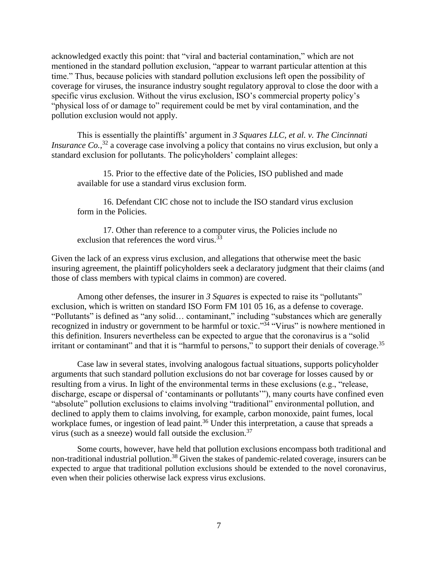acknowledged exactly this point: that "viral and bacterial contamination," which are not mentioned in the standard pollution exclusion, "appear to warrant particular attention at this time." Thus, because policies with standard pollution exclusions left open the possibility of coverage for viruses, the insurance industry sought regulatory approval to close the door with a specific virus exclusion. Without the virus exclusion, ISO's commercial property policy's "physical loss of or damage to" requirement could be met by viral contamination, and the pollution exclusion would not apply.

This is essentially the plaintiffs' argument in *3 Squares LLC, et al. v. The Cincinnati Insurance Co.*,<sup>32</sup> a coverage case involving a policy that contains no virus exclusion, but only a standard exclusion for pollutants. The policyholders' complaint alleges:

15. Prior to the effective date of the Policies, ISO published and made available for use a standard virus exclusion form.

16. Defendant CIC chose not to include the ISO standard virus exclusion form in the Policies.

17. Other than reference to a computer virus, the Policies include no exclusion that references the word virus.  $33$ 

Given the lack of an express virus exclusion, and allegations that otherwise meet the basic insuring agreement, the plaintiff policyholders seek a declaratory judgment that their claims (and those of class members with typical claims in common) are covered.

Among other defenses, the insurer in *3 Squares* is expected to raise its "pollutants" exclusion, which is written on standard ISO Form FM 101 05 16, as a defense to coverage. "Pollutants" is defined as "any solid… contaminant," including "substances which are generally recognized in industry or government to be harmful or toxic."<sup>34</sup> "Virus" is nowhere mentioned in this definition. Insurers nevertheless can be expected to argue that the coronavirus is a "solid irritant or contaminant" and that it is "harmful to persons," to support their denials of coverage.<sup>35</sup>

Case law in several states, involving analogous factual situations, supports policyholder arguments that such standard pollution exclusions do not bar coverage for losses caused by or resulting from a virus. In light of the environmental terms in these exclusions (e.g., "release, discharge, escape or dispersal of 'contaminants or pollutants'"), many courts have confined even "absolute" pollution exclusions to claims involving "traditional" environmental pollution, and declined to apply them to claims involving, for example, carbon monoxide, paint fumes, local workplace fumes, or ingestion of lead paint.<sup>36</sup> Under this interpretation, a cause that spreads a virus (such as a sneeze) would fall outside the exclusion. $37$ 

Some courts, however, have held that pollution exclusions encompass both traditional and non-traditional industrial pollution.<sup>38</sup> Given the stakes of pandemic-related coverage, insurers can be expected to argue that traditional pollution exclusions should be extended to the novel coronavirus, even when their policies otherwise lack express virus exclusions.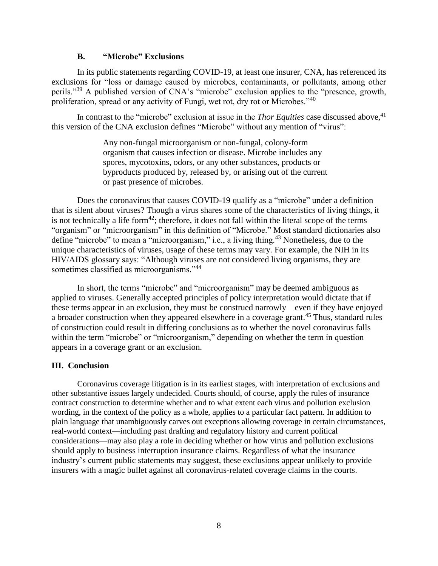#### **B. "Microbe" Exclusions**

In its public statements regarding COVID-19, at least one insurer, CNA, has referenced its exclusions for "loss or damage caused by microbes, contaminants, or pollutants, among other perils."<sup>39</sup> A published version of CNA's "microbe" exclusion applies to the "presence, growth, proliferation, spread or any activity of Fungi, wet rot, dry rot or Microbes."<sup>40</sup>

In contrast to the "microbe" exclusion at issue in the *Thor Equities* case discussed above, 41 this version of the CNA exclusion defines "Microbe" without any mention of "virus":

> Any non-fungal microorganism or non-fungal, colony-form organism that causes infection or disease. Microbe includes any spores, mycotoxins, odors, or any other substances, products or byproducts produced by, released by, or arising out of the current or past presence of microbes.

Does the coronavirus that causes COVID-19 qualify as a "microbe" under a definition that is silent about viruses? Though a virus shares some of the characteristics of living things, it is not technically a life form<sup>42</sup>; therefore, it does not fall within the literal scope of the terms "organism" or "microorganism" in this definition of "Microbe." Most standard dictionaries also define "microbe" to mean a "microorganism," i.e., a living thing.<sup>43</sup> Nonetheless, due to the unique characteristics of viruses, usage of these terms may vary. For example, the NIH in its HIV/AIDS glossary says: "Although viruses are not considered living organisms, they are sometimes classified as microorganisms."<sup>44</sup>

In short, the terms "microbe" and "microorganism" may be deemed ambiguous as applied to viruses. Generally accepted principles of policy interpretation would dictate that if these terms appear in an exclusion, they must be construed narrowly—even if they have enjoyed a broader construction when they appeared elsewhere in a coverage grant. <sup>45</sup> Thus, standard rules of construction could result in differing conclusions as to whether the novel coronavirus falls within the term "microbe" or "microorganism," depending on whether the term in question appears in a coverage grant or an exclusion.

#### **III. Conclusion**

Coronavirus coverage litigation is in its earliest stages, with interpretation of exclusions and other substantive issues largely undecided. Courts should, of course, apply the rules of insurance contract construction to determine whether and to what extent each virus and pollution exclusion wording, in the context of the policy as a whole, applies to a particular fact pattern. In addition to plain language that unambiguously carves out exceptions allowing coverage in certain circumstances, real-world context—including past drafting and regulatory history and current political considerations—may also play a role in deciding whether or how virus and pollution exclusions should apply to business interruption insurance claims. Regardless of what the insurance industry's current public statements may suggest, these exclusions appear unlikely to provide insurers with a magic bullet against all coronavirus-related coverage claims in the courts.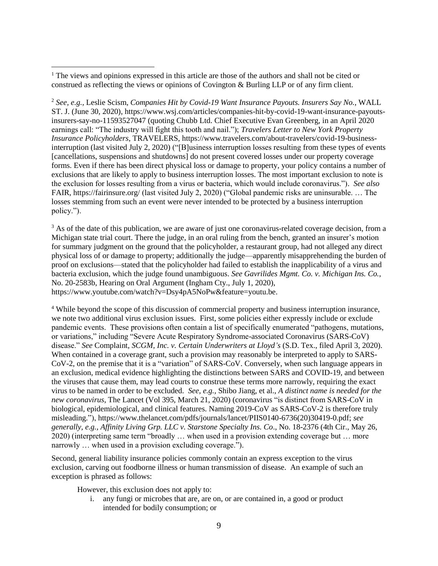$1$ . The views and opinions expressed in this article are those of the authors and shall not be cited or construed as reflecting the views or opinions of Covington & Burling LLP or of any firm client.  $\overline{a}$ 

<sup>2</sup> *See, e.g.,* Leslie Scism, *Companies Hit by Covid-19 Want Insurance Payouts. Insurers Say No.*, WALL ST. J. (June 30, 2020), https://www.wsj.com/articles/companies-hit-by-covid-19-want-insurance-payoutsinsurers-say-no-11593527047 (quoting Chubb Ltd. Chief Executive Evan Greenberg, in an April 2020 earnings call: "The industry will fight this tooth and nail."); *Travelers Letter to New York Property Insurance Policyholders*, TRAVELERS, https://www.travelers.com/about-travelers/covid-19-businessinterruption (last visited July 2, 2020) ("[B]usiness interruption losses resulting from these types of events [cancellations, suspensions and shutdowns] do not present covered losses under our property coverage forms. Even if there has been direct physical loss or damage to property, your policy contains a number of exclusions that are likely to apply to business interruption losses. The most important exclusion to note is the exclusion for losses resulting from a virus or bacteria, which would include coronavirus."). *See also*  FAIR, https://fairinsure.org/ (last visited July 2, 2020) ("Global pandemic risks are uninsurable. … The losses stemming from such an event were never intended to be protected by a business interruption policy.").

<sup>3</sup> As of the date of this publication, we are aware of just one coronavirus-related coverage decision, from a Michigan state trial court. There the judge, in an oral ruling from the bench, granted an insurer's motion for summary judgment on the ground that the policyholder, a restaurant group, had not alleged any direct physical loss of or damage to property; additionally the judge—apparently misapprehending the burden of proof on exclusions—stated that the policyholder had failed to establish the inapplicability of a virus and bacteria exclusion, which the judge found unambiguous. *See Gavrilides Mgmt. Co. v. Michigan Ins. Co.*, No. 20-2583b, Hearing on Oral Argument (Ingham Cty., July 1, 2020), https://www.youtube.com/watch?v=Dsy4pA5NoPw&feature=youtu.be.

<sup>4</sup> While beyond the scope of this discussion of commercial property and business interruption insurance, we note two additional virus exclusion issues. First, some policies either expressly include or exclude pandemic events. These provisions often contain a list of specifically enumerated "pathogens, mutations, or variations," including "Severe Acute Respiratory Syndrome-associated Coronavirus (SARS-CoV) disease." *See* Complaint, *SCGM, Inc. v. Certain Underwriters at Lloyd's* (S.D. Tex., filed April 3, 2020). When contained in a coverage grant, such a provision may reasonably be interpreted to apply to SARS-CoV-2, on the premise that it is a "variation" of SARS-CoV. Conversely, when such language appears in an exclusion, medical evidence highlighting the distinctions between SARS and COVID-19, and between the viruses that cause them, may lead courts to construe these terms more narrowly, requiring the exact virus to be named in order to be excluded. *See, e.g.,* Shibo Jiang, et al., *A distinct name is needed for the new coronavirus*, The Lancet (Vol 395, March 21, 2020) (coronavirus "is distinct from SARS-CoV in biological, epidemiological, and clinical features. Naming 2019-CoV as SARS-CoV-2 is therefore truly misleading."), https://www.thelancet.com/pdfs/journals/lancet/PIIS0140-6736(20)30419-0.pdf; *see generally, e.g., Affinity Living Grp. LLC v. Starstone Specialty Ins. Co*., No. 18-2376 (4th Cir., May 26, 2020) (interpreting same term "broadly … when used in a provision extending coverage but … more narrowly … when used in a provision excluding coverage.").

Second, general liability insurance policies commonly contain an express exception to the virus exclusion, carving out foodborne illness or human transmission of disease. An example of such an exception is phrased as follows:

However, this exclusion does not apply to:

i. any fungi or microbes that are, are on, or are contained in, a good or product intended for bodily consumption; or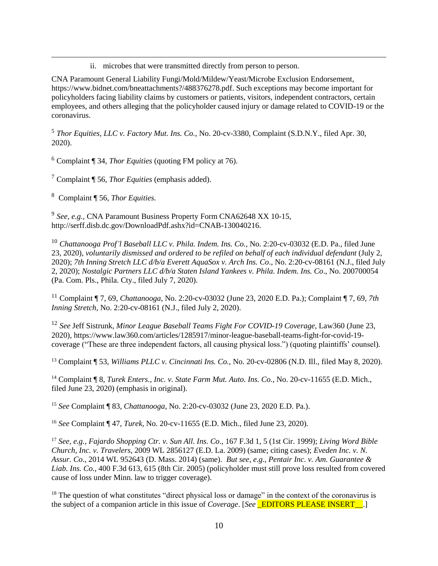ii. microbes that were transmitted directly from person to person.

CNA Paramount General Liability Fungi/Mold/Mildew/Yeast/Microbe Exclusion Endorsement, https://www.bidnet.com/bneattachments?/488376278.pdf. Such exceptions may become important for policyholders facing liability claims by customers or patients, visitors, independent contractors, certain employees, and others alleging that the policyholder caused injury or damage related to COVID-19 or the coronavirus.

<sup>5</sup> *Thor Equities, LLC v. Factory Mut. Ins. Co.*, No. 20-cv-3380, Complaint (S.D.N.Y., filed Apr. 30, 2020).

<sup>6</sup> Complaint ¶ 34, *Thor Equities* (quoting FM policy at 76).

<sup>7</sup> Complaint ¶ 56, *Thor Equities* (emphasis added).

<sup>8</sup> Complaint ¶ 56, *Thor Equities.*

 $\overline{a}$ 

9 *See, e.g.,* CNA Paramount Business Property Form CNA62648 XX 10-15, http://serff.disb.dc.gov/DownloadPdf.ashx?id=CNAB-130040216.

<sup>10</sup> *Chattanooga Prof'l Baseball LLC v. Phila. Indem. Ins. Co.*, No. 2:20-cv-03032 (E.D. Pa., filed June 23, 2020), *voluntarily dismissed and ordered to be refiled on behalf of each individual defendant* (July 2, 2020); *7th Inning Stretch LLC d/b/a Everett AquaSox v. Arch Ins. Co*., No. 2:20-cv-08161 (N.J., filed July 2, 2020); *Nostalgic Partners LLC d/b/a Staten Island Yankees v. Phila. Indem. Ins. Co*., No. 200700054 (Pa. Com. Pls., Phila. Cty., filed July 7, 2020).

<sup>11</sup> Complaint ¶ 7, 69, *Chattanooga*, No. 2:20-cv-03032 (June 23, 2020 E.D. Pa.); Complaint ¶ 7, 69, *7th Inning Stretch, No. 2:20-cv-08161 (N.J., filed July 2, 2020).* 

<sup>12</sup> *See* Jeff Sistrunk, *Minor League Baseball Teams Fight For COVID-19 Coverage*, Law360 (June 23, 2020), https://www.law360.com/articles/1285917/minor-league-baseball-teams-fight-for-covid-19 coverage ("These are three independent factors, all causing physical loss.") (quoting plaintiffs' counsel).

<sup>13</sup> Complaint ¶ 53, *Williams PLLC v. Cincinnati Ins. Co.*, No. 20-cv-02806 (N.D. Ill., filed May 8, 2020).

<sup>14</sup> Complaint ¶ 8, *Turek Enters., Inc. v. State Farm Mut. Auto. Ins. Co.*, No. 20-cv-11655 (E.D. Mich., filed June 23, 2020) (emphasis in original).

<sup>15</sup> *See* Complaint ¶ 83, *Chattanooga,* No. 2:20-cv-03032 (June 23, 2020 E.D. Pa.).

<sup>16</sup> *See* Complaint ¶ 47, *Turek*, No. 20-cv-11655 (E.D. Mich., filed June 23, 2020).

<sup>17</sup> *See, e.g., Fajardo Shopping Ctr. v. Sun All. Ins. Co*., 167 F.3d 1, 5 (1st Cir. 1999); *Living Word Bible Church, Inc. v. Travelers*, 2009 WL 2856127 (E.D. La. 2009) (same; citing cases); *Eveden Inc. v. N. Assur. Co*., 2014 WL 952643 (D. Mass. 2014) (same). *But see, e.g., Pentair Inc. v. Am. Guarantee & Liab. Ins. Co.*, 400 F.3d 613, 615 (8th Cir. 2005) (policyholder must still prove loss resulted from covered cause of loss under Minn. law to trigger coverage).

<sup>18</sup> The question of what constitutes "direct physical loss or damage" in the context of the coronavirus is the subject of a companion article in this issue of *Coverage*. [*See* \_EDITORS PLEASE INSERT\_\_.]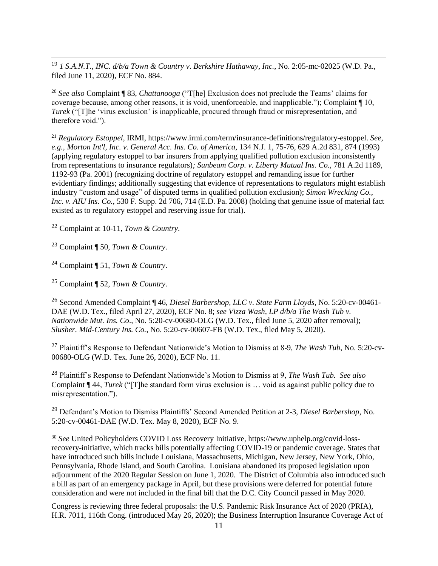<sup>19</sup> *1 S.A.N.T., INC. d/b/a Town & Country v. Berkshire Hathaway, Inc.*, No. 2:05-mc-02025 (W.D. Pa., filed June 11, 2020), ECF No. 884.

<sup>20</sup> *See also* Complaint ¶ 83, *Chattanooga* ("T[he] Exclusion does not preclude the Teams' claims for coverage because, among other reasons, it is void, unenforceable, and inapplicable."); Complaint ¶ 10, *Turek* ("[T]he 'virus exclusion' is inapplicable, procured through fraud or misrepresentation, and therefore void.").

<sup>21</sup> *Regulatory Estoppel*, IRMI, https://www.irmi.com/term/insurance-definitions/regulatory-estoppel. *See, e.g., Morton Int'l, Inc. v. General Acc. Ins. Co. of America,* 134 N.J. 1, 75-76, 629 A.2d 831, 874 (1993) (applying regulatory estoppel to bar insurers from applying qualified pollution exclusion inconsistently from representations to insurance regulators)*; Sunbeam Corp. v. Liberty Mutual Ins. Co.,* 781 A.2d 1189, 1192-93 (Pa. 2001) (recognizing doctrine of regulatory estoppel and remanding issue for further evidentiary findings; additionally suggesting that evidence of representations to regulators might establish industry "custom and usage" of disputed terms in qualified pollution exclusion); *Simon Wrecking Co., Inc. v. AIU Ins. Co.,* 530 F. Supp. 2d 706, 714 (E.D. Pa. 2008) (holding that genuine issue of material fact existed as to regulatory estoppel and reserving issue for trial).

<sup>22</sup> Complaint at 10-11, *Town & Country*.

<sup>23</sup> Complaint ¶ 50, *Town & Country*.

 $\overline{a}$ 

<sup>24</sup> Complaint ¶ 51, *Town & Country*.

<sup>25</sup> Complaint ¶ 52, *Town & Country*.

<sup>26</sup> Second Amended Complaint ¶ 46, *Diesel Barbershop, LLC v. State Farm Lloyds*, No. 5:20-cv-00461- DAE (W.D. Tex., filed April 27, 2020), ECF No. 8; *see Vizza Wash, LP d/b/a The Wash Tub v. Nationwide Mut. Ins. Co*., No. 5:20-cv-00680-OLG (W.D. Tex., filed June 5, 2020 after removal); *Slusher. Mid-Century Ins. Co.*, No. 5:20-cv-00607-FB (W.D. Tex., filed May 5, 2020).

<sup>27</sup> Plaintiff's Response to Defendant Nationwide's Motion to Dismiss at 8-9, *The Wash Tub*, No. 5:20-cv-00680-OLG (W.D. Tex. June 26, 2020), ECF No. 11.

<sup>28</sup> Plaintiff's Response to Defendant Nationwide's Motion to Dismiss at 9, *The Wash Tub. See also*  Complaint ¶ 44, *Turek* ("[T]he standard form virus exclusion is … void as against public policy due to misrepresentation.").

<sup>29</sup> Defendant's Motion to Dismiss Plaintiffs' Second Amended Petition at 2-3, *Diesel Barbershop*, No. 5:20-cv-00461-DAE (W.D. Tex. May 8, 2020), ECF No. 9.

<sup>30</sup> *See* United Policyholders COVID Loss Recovery Initiative, https://www.uphelp.org/covid-lossrecovery-initiative, which tracks bills potentially affecting COVID-19 or pandemic coverage. States that have introduced such bills include Louisiana, Massachusetts, Michigan, New Jersey, New York, Ohio, Pennsylvania, Rhode Island, and South Carolina. Louisiana abandoned its proposed legislation upon adjournment of the 2020 Regular Session on June 1, 2020. The District of Columbia also introduced such a bill as part of an emergency package in April, but these provisions were deferred for potential future consideration and were not included in the final bill that the D.C. City Council passed in May 2020.

Congress is reviewing three federal proposals: the U.S. Pandemic Risk Insurance Act of 2020 (PRIA), H.R. 7011, 116th Cong. (introduced May 26, 2020); the Business Interruption Insurance Coverage Act of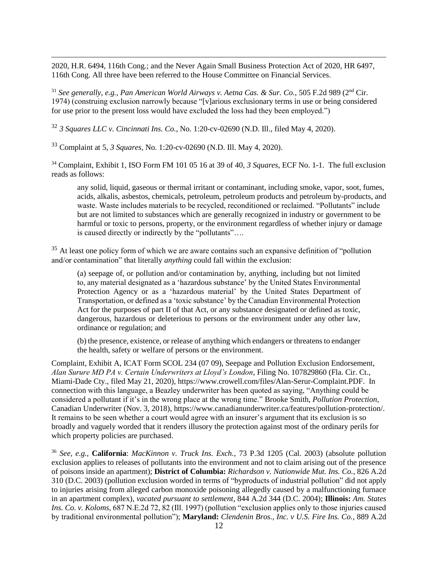2020, H.R. 6494, 116th Cong.; and the Never Again Small Business Protection Act of 2020, HR 6497, 116th Cong. All three have been referred to the House Committee on Financial Services.

<sup>31</sup> See generally, e.g., Pan American World Airways v. Aetna Cas. & Sur. Co., 505 F.2d 989 (2<sup>nd</sup> Cir. 1974) (construing exclusion narrowly because "[v]arious exclusionary terms in use or being considered for use prior to the present loss would have excluded the loss had they been employed.")

<sup>32</sup> *3 Squares LLC v. Cincinnati Ins. Co.*, No. 1:20-cv-02690 (N.D. Ill., filed May 4, 2020).

<sup>33</sup> Complaint at 5, *3 Squares,* No. 1:20-cv-02690 (N.D. Ill. May 4, 2020).

 $\overline{a}$ 

<sup>34</sup> Complaint, Exhibit 1, ISO Form FM 101 05 16 at 39 of 40, *3 Squares*, ECF No. 1-1. The full exclusion reads as follows:

any solid, liquid, gaseous or thermal irritant or contaminant, including smoke, vapor, soot, fumes, acids, alkalis, asbestos, chemicals, petroleum, petroleum products and petroleum by-products, and waste. Waste includes materials to be recycled, reconditioned or reclaimed. "Pollutants" include but are not limited to substances which are generally recognized in industry or government to be harmful or toxic to persons, property, or the environment regardless of whether injury or damage is caused directly or indirectly by the "pollutants"….

<sup>35</sup> At least one policy form of which we are aware contains such an expansive definition of "pollution" and/or contamination" that literally *anything* could fall within the exclusion:

(a) seepage of, or pollution and/or contamination by, anything, including but not limited to, any material designated as a 'hazardous substance' by the United States Environmental Protection Agency or as a 'hazardous material' by the United States Department of Transportation, or defined as a 'toxic substance' by the Canadian Environmental Protection Act for the purposes of part II of that Act, or any substance designated or defined as toxic, dangerous, hazardous or deleterious to persons or the environment under any other law, ordinance or regulation; and

(b) the presence, existence, or release of anything which endangers or threatens to endanger the health, safety or welfare of persons or the environment.

Complaint, Exhibit A, ICAT Form SCOL 234 (07 09), Seepage and Pollution Exclusion Endorsement, *Alan Surure MD PA v. Certain Underwriters at Lloyd's London*, Filing No. 107829860 (Fla. Cir. Ct., Miami-Dade Cty., filed May 21, 2020), https://www.crowell.com/files/Alan-Serur-Complaint.PDF. In connection with this language, a Beazley underwriter has been quoted as saying, "Anything could be considered a pollutant if it's in the wrong place at the wrong time." Brooke Smith, *Pollution Protection*, Canadian Underwriter (Nov. 3, 2018), https://www.canadianunderwriter.ca/features/pollution-protection/. It remains to be seen whether a court would agree with an insurer's argument that its exclusion is so broadly and vaguely worded that it renders illusory the protection against most of the ordinary perils for which property policies are purchased.

<sup>36</sup> *See, e.g.,* **California**: *MacKinnon v. Truck Ins. Exch.*, 73 P.3d 1205 (Cal. 2003) (absolute pollution exclusion applies to releases of pollutants into the environment and not to claim arising out of the presence of poisons inside an apartment); **District of Columbia:** *Richardson v. Nationwide Mut. Ins. Co.*, 826 A.2d 310 (D.C. 2003) (pollution exclusion worded in terms of "byproducts of industrial pollution" did not apply to injuries arising from alleged carbon monoxide poisoning allegedly caused by a malfunctioning furnace in an apartment complex), *vacated pursuant to settlement*, 844 A.2d 344 (D.C. 2004); **Illinois:** *Am. States Ins. Co. v. Koloms*, 687 N.E.2d 72, 82 (Ill. 1997) (pollution "exclusion applies only to those injuries caused by traditional environmental pollution"); **Maryland:** *Clendenin Bros., Inc. v U.S. Fire Ins. Co.*, 889 A.2d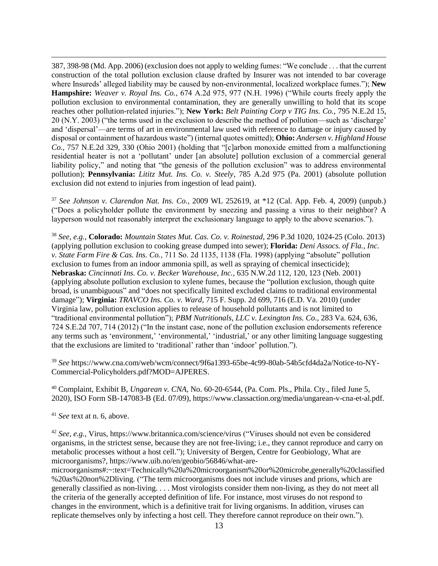387, 398-98 (Md. App. 2006) (exclusion does not apply to welding fumes: "We conclude . . . that the current construction of the total pollution exclusion clause drafted by Insurer was not intended to bar coverage where Insureds' alleged liability may be caused by non-environmental, localized workplace fumes."); **New Hampshire:** *Weaver v. Royal Ins. Co.*, 674 A.2d 975, 977 (N.H. 1996) ("While courts freely apply the pollution exclusion to environmental contamination, they are generally unwilling to hold that its scope reaches other pollution-related injuries."); **New York:** *Belt Painting Corp v TIG Ins. Co.,* 795 N.E.2d 15, 20 (N.Y. 2003) ("the terms used in the exclusion to describe the method of pollution—such as 'discharge' and 'dispersal'—are terms of art in environmental law used with reference to damage or injury caused by disposal or containment of hazardous waste") (internal quotes omitted); **Ohio:** *Andersen v. Highland House Co.*, 757 N.E.2d 329, 330 (Ohio 2001) (holding that "[c]arbon monoxide emitted from a malfunctioning residential heater is not a 'pollutant' under [an absolute] pollution exclusion of a commercial general liability policy," and noting that "the genesis of the pollution exclusion" was to address environmental pollution); **Pennsylvania:** *Lititz Mut. Ins. Co. v. Steely*, 785 A.2d 975 (Pa. 2001) (absolute pollution exclusion did not extend to injuries from ingestion of lead paint).

<sup>37</sup> *See Johnson v. Clarendon Nat. Ins. Co.,* 2009 WL 252619, at \*12 (Cal. App. Feb. 4, 2009) (unpub.) ("Does a policyholder pollute the environment by sneezing and passing a virus to their neighbor? A layperson would not reasonably interpret the exclusionary language to apply to the above scenarios.").

<sup>38</sup> *See, e.g.*, **Colorado:** *Mountain States Mut. Cas. Co. v. Roinestad*, 296 P.3d 1020, 1024-25 (Colo. 2013) (applying pollution exclusion to cooking grease dumped into sewer); **Florida:** *Deni Assocs. of Fla., Inc. v. State Farm Fire & Cas. Ins. Co.*, 711 So. 2d 1135, 1138 (Fla. 1998) (applying "absolute" pollution exclusion to fumes from an indoor ammonia spill, as well as spraying of chemical insecticide); **Nebraska:** *Cincinnati Ins. Co. v. Becker Warehouse, Inc.*, 635 N.W.2d 112, 120, 123 (Neb. 2001) (applying absolute pollution exclusion to xylene fumes, because the "pollution exclusion, though quite broad, is unambiguous" and "does not specifically limited excluded claims to traditional environmental damage"); **Virginia:** *TRAVCO Ins. Co. v. Ward,* 715 F. Supp. 2d 699, 716 (E.D. Va. 2010) (under Virginia law, pollution exclusion applies to release of household pollutants and is not limited to "traditional environmental pollution"); *PBM Nutritionals, LLC v. Lexington Ins. Co*., 283 Va. 624, 636, 724 S.E.2d 707, 714 (2012) ("In the instant case, none of the pollution exclusion endorsements reference any terms such as 'environment,' 'environmental,' 'industrial,' or any other limiting language suggesting that the exclusions are limited to 'traditional' rather than 'indoor' pollution.").

<sup>39</sup> *See* https://www.cna.com/web/wcm/connect/9f6a1393-65be-4c99-80ab-54b5cfd4da2a/Notice-to-NY-Commercial-Policyholders.pdf?MOD=AJPERES.

<sup>40</sup> Complaint, Exhibit B, *Ungarean v. CNA*, No. 60-20-6544, (Pa. Com. Pls., Phila. Cty., filed June 5, 2020), ISO Form SB-147083-B (Ed. 07/09), https://www.classaction.org/media/ungarean-v-cna-et-al.pdf.

<sup>41</sup> *See* text at n. 6, above.

 $\overline{a}$ 

<sup>42</sup> *See, e.g.*, Virus, https://www.britannica.com/science/virus ("Viruses should not even be considered organisms, in the strictest sense, because they are not free-living; i.e., they cannot reproduce and carry on metabolic processes without a host cell."); University of Bergen, Centre for Geobiology, What are microorganisms?, https://www.uib.no/en/geobio/56846/what-are-

microorganisms#:~:text=Technically%20a%20microorganism%20or%20microbe,generally%20classified %20as%20non%2Dliving. ("The term microorganisms does not include viruses and prions, which are generally classified as non-living. . . . Most virologists consider them non-living, as they do not meet all the criteria of the generally accepted definition of life. For instance, most viruses do not respond to changes in the environment, which is a definitive trait for living organisms. In addition, viruses can replicate themselves only by infecting a host cell. They therefore cannot reproduce on their own.").